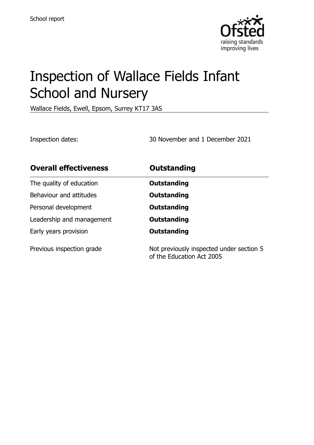

# Inspection of Wallace Fields Infant School and Nursery

Wallace Fields, Ewell, Epsom, Surrey KT17 3AS

Inspection dates: 30 November and 1 December 2021

| <b>Overall effectiveness</b> | Outstanding                                                           |
|------------------------------|-----------------------------------------------------------------------|
| The quality of education     | Outstanding                                                           |
| Behaviour and attitudes      | Outstanding                                                           |
| Personal development         | Outstanding                                                           |
| Leadership and management    | Outstanding                                                           |
| Early years provision        | Outstanding                                                           |
| Previous inspection grade    | Not previously inspected under section 5<br>of the Education Act 2005 |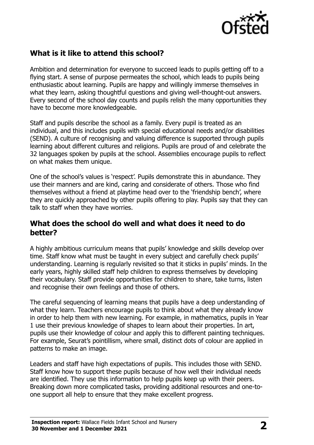

# **What is it like to attend this school?**

Ambition and determination for everyone to succeed leads to pupils getting off to a flying start. A sense of purpose permeates the school, which leads to pupils being enthusiastic about learning. Pupils are happy and willingly immerse themselves in what they learn, asking thoughtful questions and giving well-thought-out answers. Every second of the school day counts and pupils relish the many opportunities they have to become more knowledgeable.

Staff and pupils describe the school as a family. Every pupil is treated as an individual, and this includes pupils with special educational needs and/or disabilities (SEND). A culture of recognising and valuing difference is supported through pupils learning about different cultures and religions. Pupils are proud of and celebrate the 32 languages spoken by pupils at the school. Assemblies encourage pupils to reflect on what makes them unique.

One of the school's values is 'respect'. Pupils demonstrate this in abundance. They use their manners and are kind, caring and considerate of others. Those who find themselves without a friend at playtime head over to the 'friendship bench', where they are quickly approached by other pupils offering to play. Pupils say that they can talk to staff when they have worries.

#### **What does the school do well and what does it need to do better?**

A highly ambitious curriculum means that pupils' knowledge and skills develop over time. Staff know what must be taught in every subject and carefully check pupils' understanding. Learning is regularly revisited so that it sticks in pupils' minds. In the early years, highly skilled staff help children to express themselves by developing their vocabulary. Staff provide opportunities for children to share, take turns, listen and recognise their own feelings and those of others.

The careful sequencing of learning means that pupils have a deep understanding of what they learn. Teachers encourage pupils to think about what they already know in order to help them with new learning. For example, in mathematics, pupils in Year 1 use their previous knowledge of shapes to learn about their properties. In art, pupils use their knowledge of colour and apply this to different painting techniques. For example, Seurat's pointillism, where small, distinct dots of colour are applied in patterns to make an image.

Leaders and staff have high expectations of pupils. This includes those with SEND. Staff know how to support these pupils because of how well their individual needs are identified. They use this information to help pupils keep up with their peers. Breaking down more complicated tasks, providing additional resources and one-toone support all help to ensure that they make excellent progress.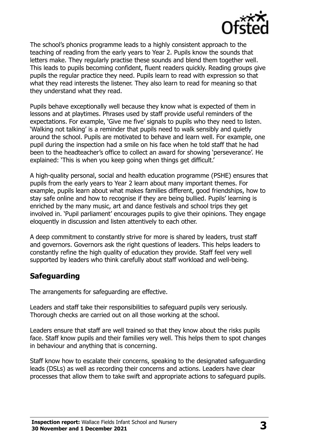

The school's phonics programme leads to a highly consistent approach to the teaching of reading from the early years to Year 2. Pupils know the sounds that letters make. They regularly practise these sounds and blend them together well. This leads to pupils becoming confident, fluent readers quickly. Reading groups give pupils the regular practice they need. Pupils learn to read with expression so that what they read interests the listener. They also learn to read for meaning so that they understand what they read.

Pupils behave exceptionally well because they know what is expected of them in lessons and at playtimes. Phrases used by staff provide useful reminders of the expectations. For example, 'Give me five' signals to pupils who they need to listen. 'Walking not talking' is a reminder that pupils need to walk sensibly and quietly around the school. Pupils are motivated to behave and learn well. For example, one pupil during the inspection had a smile on his face when he told staff that he had been to the headteacher's office to collect an award for showing 'perseverance'. He explained: 'This is when you keep going when things get difficult.'

A high-quality personal, social and health education programme (PSHE) ensures that pupils from the early years to Year 2 learn about many important themes. For example, pupils learn about what makes families different, good friendships, how to stay safe online and how to recognise if they are being bullied. Pupils' learning is enriched by the many music, art and dance festivals and school trips they get involved in. 'Pupil parliament' encourages pupils to give their opinions. They engage eloquently in discussion and listen attentively to each other.

A deep commitment to constantly strive for more is shared by leaders, trust staff and governors. Governors ask the right questions of leaders. This helps leaders to constantly refine the high quality of education they provide. Staff feel very well supported by leaders who think carefully about staff workload and well-being.

#### **Safeguarding**

The arrangements for safeguarding are effective.

Leaders and staff take their responsibilities to safeguard pupils very seriously. Thorough checks are carried out on all those working at the school.

Leaders ensure that staff are well trained so that they know about the risks pupils face. Staff know pupils and their families very well. This helps them to spot changes in behaviour and anything that is concerning.

Staff know how to escalate their concerns, speaking to the designated safeguarding leads (DSLs) as well as recording their concerns and actions. Leaders have clear processes that allow them to take swift and appropriate actions to safeguard pupils.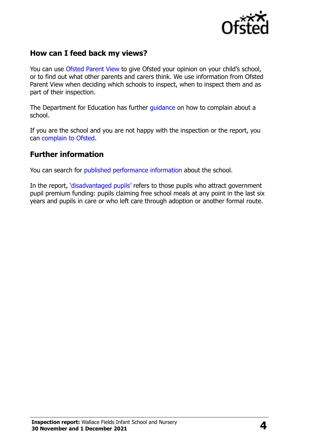

### **How can I feed back my views?**

You can use [Ofsted Parent View](http://parentview.ofsted.gov.uk/) to give Ofsted your opinion on your child's school, or to find out what other parents and carers think. We use information from Ofsted Parent View when deciding which schools to inspect, when to inspect them and as part of their inspection.

The Department for Education has further quidance on how to complain about a school.

If you are the school and you are not happy with the inspection or the report, you can [complain to Ofsted.](http://www.gov.uk/complain-ofsted-report)

#### **Further information**

You can search for [published performance information](http://www.compare-school-performance.service.gov.uk/) about the school.

In the report, '[disadvantaged pupils](http://www.gov.uk/guidance/pupil-premium-information-for-schools-and-alternative-provision-settings)' refers to those pupils who attract government pupil premium funding: pupils claiming free school meals at any point in the last six years and pupils in care or who left care through adoption or another formal route.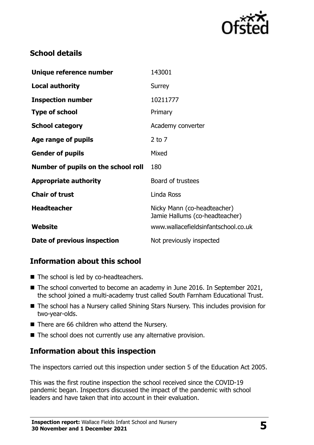

# **School details**

| Unique reference number             | 143001                                                        |
|-------------------------------------|---------------------------------------------------------------|
| <b>Local authority</b>              | Surrey                                                        |
| <b>Inspection number</b>            | 10211777                                                      |
| <b>Type of school</b>               | Primary                                                       |
| <b>School category</b>              | Academy converter                                             |
| Age range of pupils                 | $2$ to $7$                                                    |
| <b>Gender of pupils</b>             | Mixed                                                         |
| Number of pupils on the school roll | 180                                                           |
| <b>Appropriate authority</b>        | Board of trustees                                             |
| <b>Chair of trust</b>               | Linda Ross                                                    |
| <b>Headteacher</b>                  | Nicky Mann (co-headteacher)<br>Jamie Hallums (co-headteacher) |
| Website                             | www.wallacefieldsinfantschool.co.uk                           |
| Date of previous inspection         | Not previously inspected                                      |

# **Information about this school**

- The school is led by co-headteachers.
- The school converted to become an academy in June 2016. In September 2021, the school joined a multi-academy trust called South Farnham Educational Trust.
- The school has a Nursery called Shining Stars Nursery. This includes provision for two-year-olds.
- There are 66 children who attend the Nursery.
- The school does not currently use any alternative provision.

# **Information about this inspection**

The inspectors carried out this inspection under section 5 of the Education Act 2005.

This was the first routine inspection the school received since the COVID-19 pandemic began. Inspectors discussed the impact of the pandemic with school leaders and have taken that into account in their evaluation.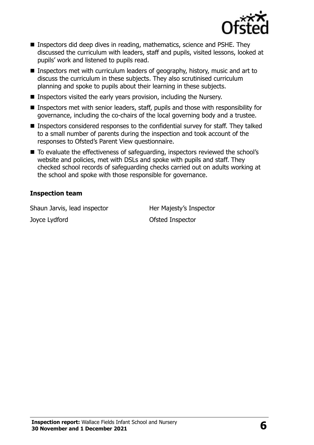

- Inspectors did deep dives in reading, mathematics, science and PSHE. They discussed the curriculum with leaders, staff and pupils, visited lessons, looked at pupils' work and listened to pupils read.
- Inspectors met with curriculum leaders of geography, history, music and art to discuss the curriculum in these subjects. They also scrutinised curriculum planning and spoke to pupils about their learning in these subjects.
- Inspectors visited the early years provision, including the Nursery.
- Inspectors met with senior leaders, staff, pupils and those with responsibility for governance, including the co-chairs of the local governing body and a trustee.
- Inspectors considered responses to the confidential survey for staff. They talked to a small number of parents during the inspection and took account of the responses to Ofsted's Parent View questionnaire.
- To evaluate the effectiveness of safeguarding, inspectors reviewed the school's website and policies, met with DSLs and spoke with pupils and staff. They checked school records of safeguarding checks carried out on adults working at the school and spoke with those responsible for governance.

#### **Inspection team**

Shaun Jarvis, lead inspector **Her Majesty's Inspector** Joyce Lydford **Contact Contact Contact Contact Contact Contact Contact Contact Contact Contact Contact Contact Contact Contact Contact Contact Contact Contact Contact Contact Contact Contact Contact Contact Contact Contact**